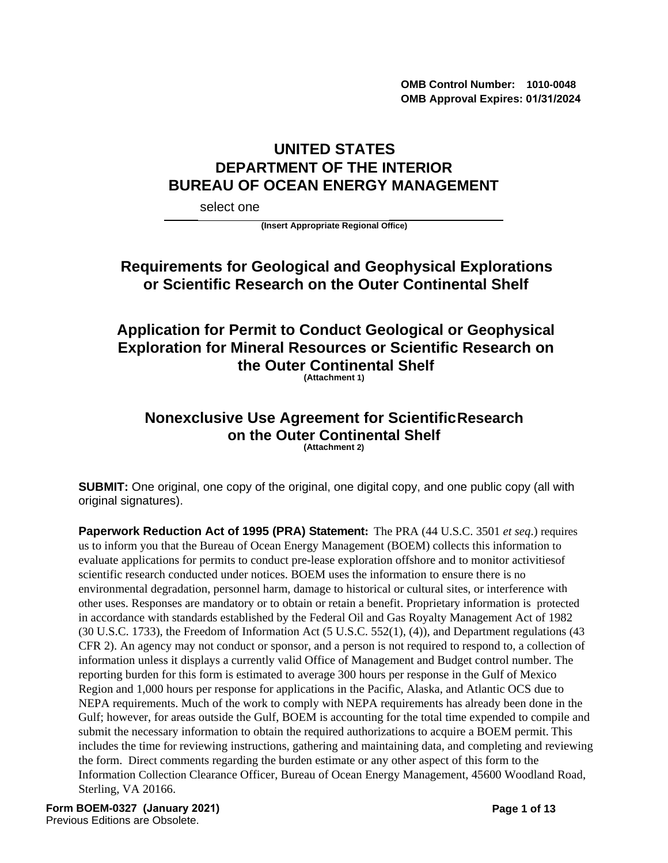**OMB Control Number: 1010-0048 OMB Approval Expires: 01/31/2024**

# **UNITED STATES DEPARTMENT OF THE INTERIOR BUREAU OF OCEAN ENERGY MANAGEMENT**

select one

**(Insert Appropriate Regional Office)**

# **Requirements for Geological and Geophysical Explorations or Scientific Research on the Outer Continental Shelf**

# **Application for Permit to Conduct Geological or Geophysical Exploration for Mineral Resources or Scientific Research on the Outer Continental Shelf**

**(Attachment 1)**

#### **Nonexclusive Use Agreement for ScientificResearch on the Outer Continental Shelf (Attachment 2)**

**SUBMIT:** One original, one copy of the original, one digital copy, and one public copy (all with original signatures).

**Paperwork Reduction Act of 1995 (PRA) Statement:** The PRA (44 U.S.C. 3501 *et seq*.) requires us to inform you that the Bureau of Ocean Energy Management (BOEM) collects this information to evaluate applications for permits to conduct pre-lease exploration offshore and to monitor activitiesof scientific research conducted under notices. BOEM uses the information to ensure there is no environmental degradation, personnel harm, damage to historical or cultural sites, or interference with other uses. Responses are mandatory or to obtain or retain a benefit. Proprietary information is protected in accordance with standards established by the Federal Oil and Gas Royalty Management Act of 1982 (30 U.S.C. 1733), the Freedom of Information Act (5 U.S.C. 552(1), (4)), and Department regulations (43 CFR 2). An agency may not conduct or sponsor, and a person is not required to respond to, a collection of information unless it displays a currently valid Office of Management and Budget control number. The reporting burden for this form is estimated to average 300 hours per response in the Gulf of Mexico Region and 1,000 hours per response for applications in the Pacific, Alaska, and Atlantic OCS due to NEPA requirements. Much of the work to comply with NEPA requirements has already been done in the Gulf; however, for areas outside the Gulf, BOEM is accounting for the total time expended to compile and submit the necessary information to obtain the required authorizations to acquire a BOEM permit. This includes the time for reviewing instructions, gathering and maintaining data, and completing and reviewing the form. Direct comments regarding the burden estimate or any other aspect of this form to the Information Collection Clearance Officer, Bureau of Ocean Energy Management, 45600 Woodland Road, Sterling, VA 20166.

**Form BOEM-0327 (January 2021)**  Previous Editions are Obsolete.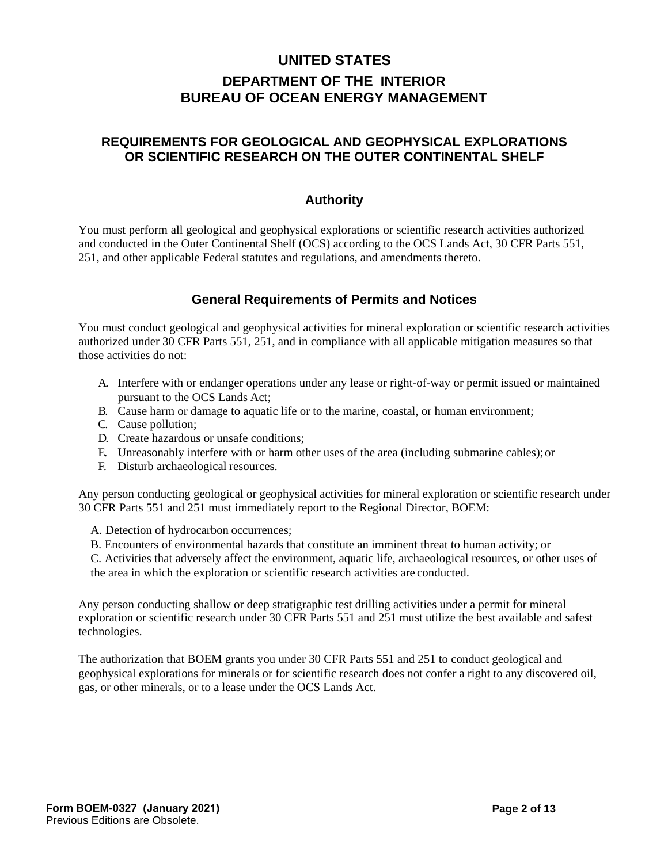# **UNITED STATES DEPARTMENT OF THE INTERIOR BUREAU OF OCEAN ENERGY MANAGEMENT**

### **REQUIREMENTS FOR GEOLOGICAL AND GEOPHYSICAL EXPLORATIONS OR SCIENTIFIC RESEARCH ON THE OUTER CONTINENTAL SHELF**

#### **Authority**

You must perform all geological and geophysical explorations or scientific research activities authorized and conducted in the Outer Continental Shelf (OCS) according to the OCS Lands Act, 30 CFR Parts 551, 251, and other applicable Federal statutes and regulations, and amendments thereto.

## **General Requirements of Permits and Notices**

You must conduct geological and geophysical activities for mineral exploration or scientific research activities authorized under 30 CFR Parts 551, 251, and in compliance with all applicable mitigation measures so that those activities do not:

- A. Interfere with or endanger operations under any lease or right-of-way or permit issued or maintained pursuant to the OCS Lands Act;
- B. Cause harm or damage to aquatic life or to the marine, coastal, or human environment;
- C. Cause pollution;
- D. Create hazardous or unsafe conditions;
- E. Unreasonably interfere with or harm other uses of the area (including submarine cables);or
- F. Disturb archaeological resources.

Any person conducting geological or geophysical activities for mineral exploration or scientific research under 30 CFR Parts 551 and 251 must immediately report to the Regional Director, BOEM:

A. Detection of hydrocarbon occurrences;

B. Encounters of environmental hazards that constitute an imminent threat to human activity; or

C. Activities that adversely affect the environment, aquatic life, archaeological resources, or other uses of the area in which the exploration or scientific research activities are conducted.

Any person conducting shallow or deep stratigraphic test drilling activities under a permit for mineral exploration or scientific research under 30 CFR Parts 551 and 251 must utilize the best available and safest technologies.

The authorization that BOEM grants you under 30 CFR Parts 551 and 251 to conduct geological and geophysical explorations for minerals or for scientific research does not confer a right to any discovered oil, gas, or other minerals, or to a lease under the OCS Lands Act.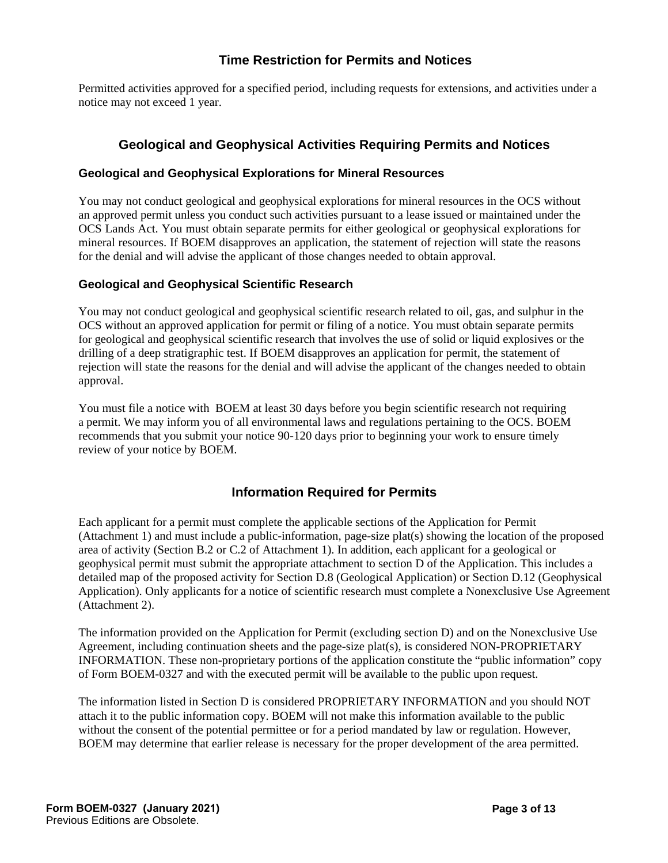### **Time Restriction for Permits and Notices**

Permitted activities approved for a specified period, including requests for extensions, and activities under a notice may not exceed 1 year.

#### **Geological and Geophysical Activities Requiring Permits and Notices**

#### **Geological and Geophysical Explorations for Mineral Resources**

You may not conduct geological and geophysical explorations for mineral resources in the OCS without an approved permit unless you conduct such activities pursuant to a lease issued or maintained under the OCS Lands Act. You must obtain separate permits for either geological or geophysical explorations for mineral resources. If BOEM disapproves an application, the statement of rejection will state the reasons for the denial and will advise the applicant of those changes needed to obtain approval.

#### **Geological and Geophysical Scientific Research**

You may not conduct geological and geophysical scientific research related to oil, gas, and sulphur in the OCS without an approved application for permit or filing of a notice. You must obtain separate permits for geological and geophysical scientific research that involves the use of solid or liquid explosives or the drilling of a deep stratigraphic test. If BOEM disapproves an application for permit, the statement of rejection will state the reasons for the denial and will advise the applicant of the changes needed to obtain approval.

You must file a notice with BOEM at least 30 days before you begin scientific research not requiring a permit. We may inform you of all environmental laws and regulations pertaining to the OCS. BOEM recommends that you submit your notice 90-120 days prior to beginning your work to ensure timely review of your notice by BOEM.

#### **Information Required for Permits**

Each applicant for a permit must complete the applicable sections of the Application for Permit (Attachment 1) and must include a public-information, page-size plat(s) showing the location of the proposed area of activity (Section B.2 or C.2 of Attachment 1). In addition, each applicant for a geological or geophysical permit must submit the appropriate attachment to section D of the Application. This includes a detailed map of the proposed activity for Section D.8 (Geological Application) or Section D.12 (Geophysical Application). Only applicants for a notice of scientific research must complete a Nonexclusive Use Agreement (Attachment 2).

The information provided on the Application for Permit (excluding section D) and on the Nonexclusive Use Agreement, including continuation sheets and the page-size plat(s), is considered NON-PROPRIETARY INFORMATION. These non-proprietary portions of the application constitute the "public information" copy of Form BOEM-0327 and with the executed permit will be available to the public upon request.

The information listed in Section D is considered PROPRIETARY INFORMATION and you should NOT attach it to the public information copy. BOEM will not make this information available to the public without the consent of the potential permittee or for a period mandated by law or regulation. However, BOEM may determine that earlier release is necessary for the proper development of the area permitted.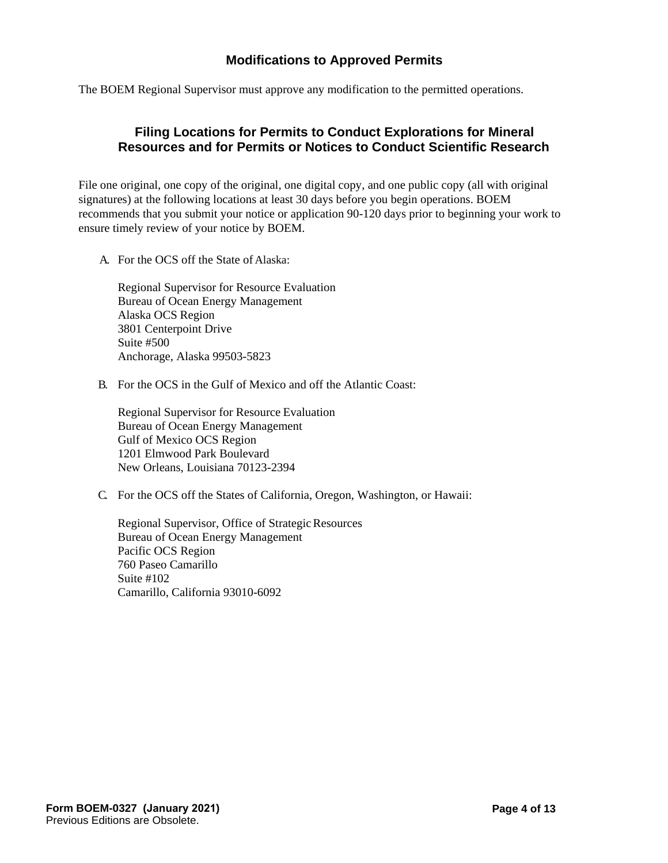### **Modifications to Approved Permits**

The BOEM Regional Supervisor must approve any modification to the permitted operations.

### **Filing Locations for Permits to Conduct Explorations for Mineral Resources and for Permits or Notices to Conduct Scientific Research**

File one original, one copy of the original, one digital copy, and one public copy (all with original signatures) at the following locations at least 30 days before you begin operations. BOEM recommends that you submit your notice or application 90-120 days prior to beginning your work to ensure timely review of your notice by BOEM.

A. For the OCS off the State of Alaska:

Regional Supervisor for Resource Evaluation Bureau of Ocean Energy Management Alaska OCS Region 3801 Centerpoint Drive Suite #500 Anchorage, Alaska 99503-5823

B. For the OCS in the Gulf of Mexico and off the Atlantic Coast:

Regional Supervisor for Resource Evaluation Bureau of Ocean Energy Management Gulf of Mexico OCS Region 1201 Elmwood Park Boulevard New Orleans, Louisiana 70123-2394

C. For the OCS off the States of California, Oregon, Washington, or Hawaii:

Regional Supervisor, Office of Strategic Resources Bureau of Ocean Energy Management Pacific OCS Region 760 Paseo Camarillo Suite #102 Camarillo, California 93010-6092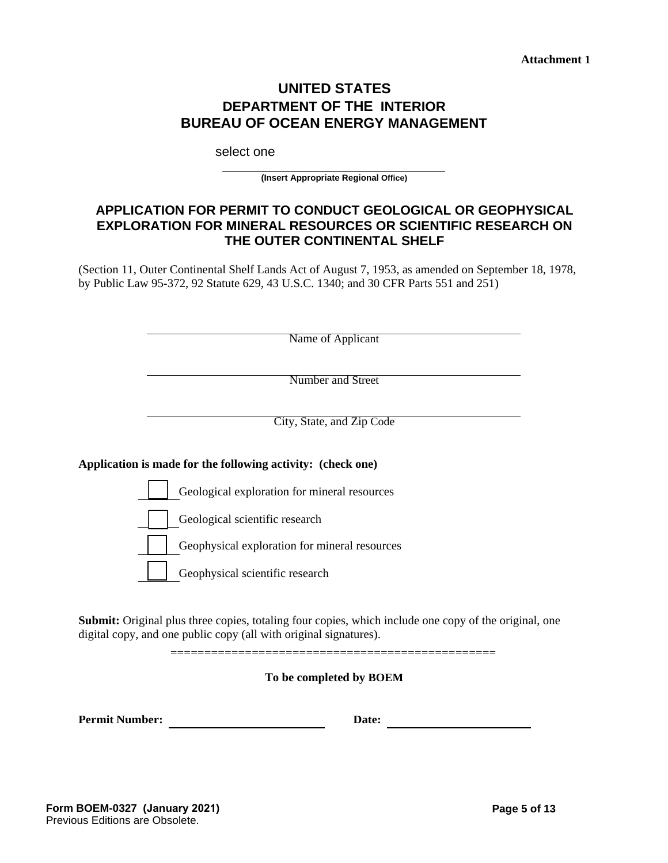**Attachment 1** 

## **UNITED STATES DEPARTMENT OF THE INTERIOR BUREAU OF OCEAN ENERGY MANAGEMENT**

select one

**(Insert Appropriate Regional Office)**

#### **APPLICATION FOR PERMIT TO CONDUCT GEOLOGICAL OR GEOPHYSICAL EXPLORATION FOR MINERAL RESOURCES OR SCIENTIFIC RESEARCH ON THE OUTER CONTINENTAL SHELF**

(Section 11, Outer Continental Shelf Lands Act of August 7, 1953, as amended on September 18, 1978, by Public Law 95-372, 92 Statute 629, 43 U.S.C. 1340; and 30 CFR Parts 551 and 251)

Name of Applicant

Number and Street

City, State, and Zip Code

#### **Application is made for the following activity: (check one)**

Geological exploration for mineral resources

Geological scientific research

Geophysical exploration for mineral resources

Geophysical scientific research

**Submit:** Original plus three copies, totaling four copies, which include one copy of the original, one digital copy, and one public copy (all with original signatures).

================================================

**To be completed by BOEM**

**Permit Number: Date: Date: Date: Date: Date: Date: Date: Date: Date: Date: Date: Date: Date: Date: Date: Date: Date: Date: Date: Date: Date: Date: Date: Date: Date: Date**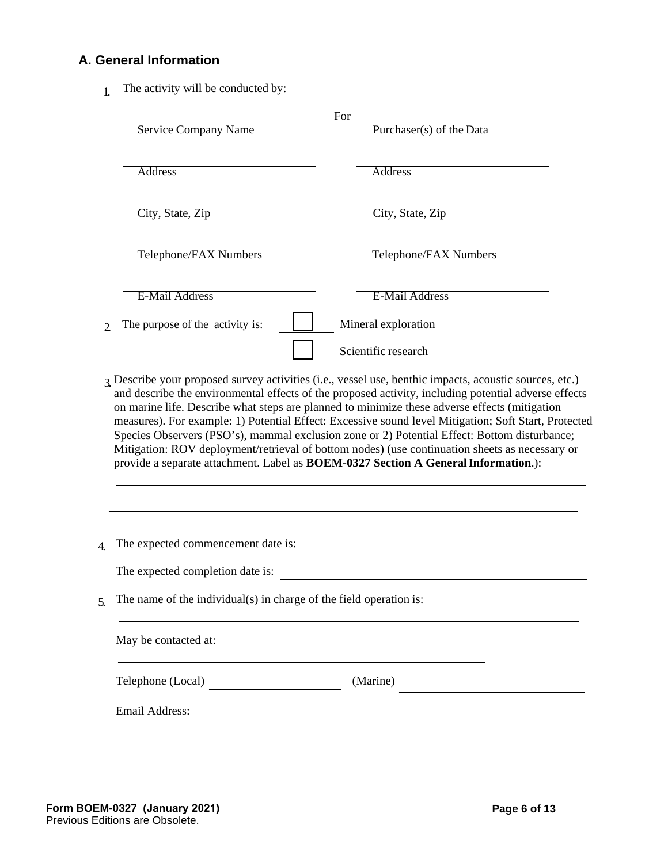## **A. General Information**

1. The activity will be conducted by:

|               |                                                                                    | For      |                                                                                                                                                                                                                                                                                                        |  |  |
|---------------|------------------------------------------------------------------------------------|----------|--------------------------------------------------------------------------------------------------------------------------------------------------------------------------------------------------------------------------------------------------------------------------------------------------------|--|--|
|               | <b>Service Company Name</b>                                                        |          | Purchaser(s) of the Data                                                                                                                                                                                                                                                                               |  |  |
|               | <b>Address</b>                                                                     |          | <b>Address</b>                                                                                                                                                                                                                                                                                         |  |  |
|               | City, State, Zip                                                                   |          | City, State, Zip                                                                                                                                                                                                                                                                                       |  |  |
|               | Telephone/FAX Numbers                                                              |          | Telephone/FAX Numbers                                                                                                                                                                                                                                                                                  |  |  |
|               | <b>E-Mail Address</b>                                                              |          | <b>E-Mail Address</b>                                                                                                                                                                                                                                                                                  |  |  |
| $\mathcal{D}$ | The purpose of the activity is:                                                    |          | Mineral exploration                                                                                                                                                                                                                                                                                    |  |  |
|               |                                                                                    |          | Scientific research                                                                                                                                                                                                                                                                                    |  |  |
|               | provide a separate attachment. Label as BOEM-0327 Section A General Information.): |          | measures). For example: 1) Potential Effect: Excessive sound level Mitigation; Soft Start, Protected<br>Species Observers (PSO's), mammal exclusion zone or 2) Potential Effect: Bottom disturbance;<br>Mitigation: ROV deployment/retrieval of bottom nodes) (use continuation sheets as necessary or |  |  |
|               | The expected commencement date is:                                                 |          |                                                                                                                                                                                                                                                                                                        |  |  |
|               | The expected completion date is:                                                   |          |                                                                                                                                                                                                                                                                                                        |  |  |
| 5.            | The name of the individual(s) in charge of the field operation is:                 |          |                                                                                                                                                                                                                                                                                                        |  |  |
|               | May be contacted at:                                                               |          |                                                                                                                                                                                                                                                                                                        |  |  |
|               | Telephone (Local)                                                                  | (Marine) |                                                                                                                                                                                                                                                                                                        |  |  |
|               |                                                                                    |          |                                                                                                                                                                                                                                                                                                        |  |  |
|               |                                                                                    |          |                                                                                                                                                                                                                                                                                                        |  |  |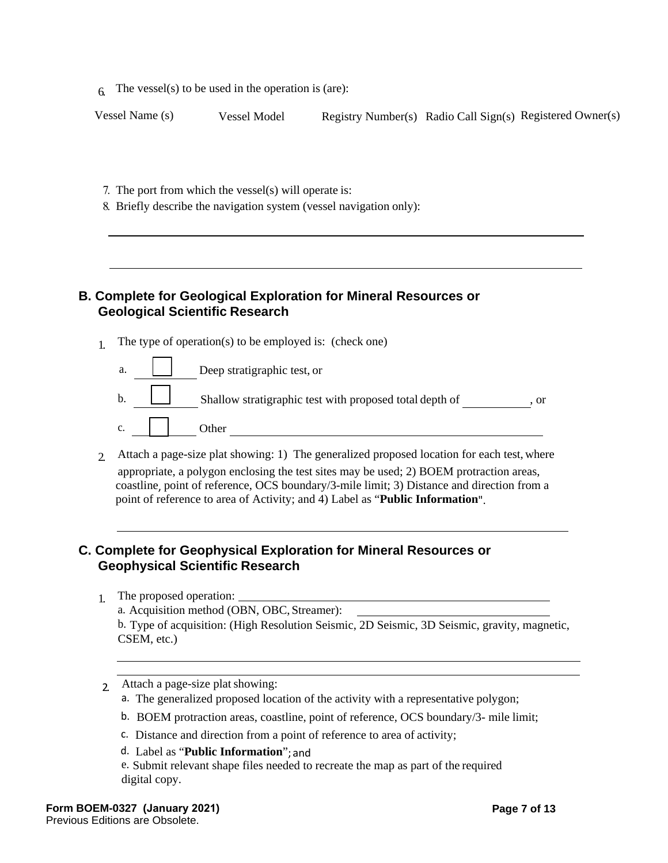$6.$  The vessel(s) to be used in the operation is (are):

| Vessel Name (s) | Vessel Model | Registry Number(s) Radio Call Sign(s) Registered Owner(s) |  |  |
|-----------------|--------------|-----------------------------------------------------------|--|--|
|-----------------|--------------|-----------------------------------------------------------|--|--|

- 7. The port from which the vessel(s) will operate is:
- 8. Briefly describe the navigation system (vessel navigation only):

#### **B. Complete for Geological Exploration for Mineral Resources or Geological Scientific Research**

- 1. The type of operation(s) to be employed is: (check one)
	- a. Deep stratigraphic test, or b. Shallow stratigraphic test with proposed total depth of , or c. **I** cther
- 2. Attach a page-size plat showing: 1) The generalized proposed location for each test, where appropriate, a polygon enclosing the test sites may be used; 2) BOEM protraction areas, coastline, point of reference, OCS boundary/3-mile limit; 3) Distance and direction from a point of reference to area of Activity; and 4) Label as "**Public Information**".

#### **C. Complete for Geophysical Exploration for Mineral Resources or Geophysical Scientific Research**

- 1. The proposed operation: a. Acquisition method (OBN, OBC, Streamer): b. Type of acquisition: (High Resolution Seismic, 2D Seismic, 3D Seismic, gravity, magnetic, CSEM, etc.)
- 2. Attach a page-size plat showing:
	- a. The generalized proposed location of the activity with a representative polygon;
	- b. BOEM protraction areas, coastline, point of reference, OCS boundary/3- mile limit;
	- c. Distance and direction from a point of reference to area of activity;
	- d. Label as "**Public Information**"; and

e. Submit relevant shape files needed to recreate the map as part of the required digital copy.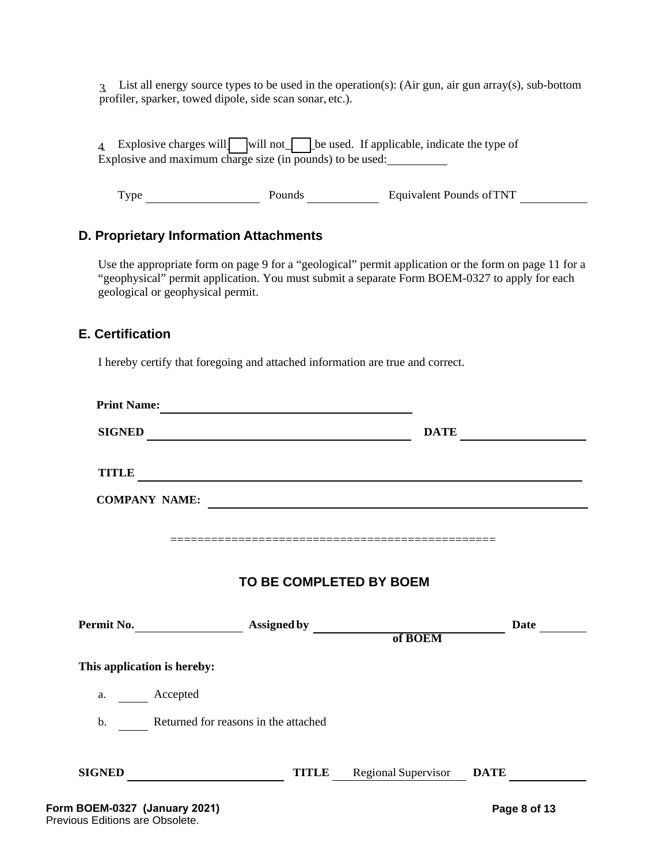3. List all energy source types to be used in the operation(s): (Air gun, air gun array(s), sub-bottom profiler, sparker, towed dipole, side scan sonar, etc.).

4 Explosive charges will will not be used. If applicable, indicate the type of Explosive and maximum charge size (in pounds) to be used:

Type Pounds Pounds Equivalent Pounds of TNT

#### **D. Proprietary Information Attachments**

Use the appropriate form on page 9 for a "geological" permit application or the form on page 11 for a "geophysical" permit application. You must submit a separate Form BOEM-0327 to apply for each geological or geophysical permit.

#### **E. Certification**

I hereby certify that foregoing and attached information are true and correct.

| <b>Print Name:</b>          | <u> 1989 - Johann Harry Barn, mars ar breist fan de Amerikaansk kommunent fan de Amerikaanske kommunent fan de A</u>  |                                                                                                                       |             |
|-----------------------------|-----------------------------------------------------------------------------------------------------------------------|-----------------------------------------------------------------------------------------------------------------------|-------------|
| <b>SIGNED</b>               |                                                                                                                       | <b>DATE</b>                                                                                                           |             |
| <b>TITLE</b>                | <u> 1989 - Johann Harry Barn, mars ar breist fan de Fryske kommunent fan de Fryske kommunent fan de Fryske kommun</u> |                                                                                                                       |             |
| <b>COMPANY NAME:</b>        |                                                                                                                       | <u> 1980 - Johann Harry Harry Harry Harry Harry Harry Harry Harry Harry Harry Harry Harry Harry Harry Harry Harry</u> |             |
|                             |                                                                                                                       |                                                                                                                       |             |
|                             |                                                                                                                       |                                                                                                                       |             |
|                             | TO BE COMPLETED BY BOEM                                                                                               |                                                                                                                       |             |
|                             |                                                                                                                       |                                                                                                                       |             |
|                             |                                                                                                                       |                                                                                                                       | <b>Date</b> |
|                             |                                                                                                                       |                                                                                                                       |             |
| a. Accepted                 |                                                                                                                       |                                                                                                                       |             |
| This application is hereby: | b. Returned for reasons in the attached                                                                               |                                                                                                                       |             |
|                             |                                                                                                                       |                                                                                                                       |             |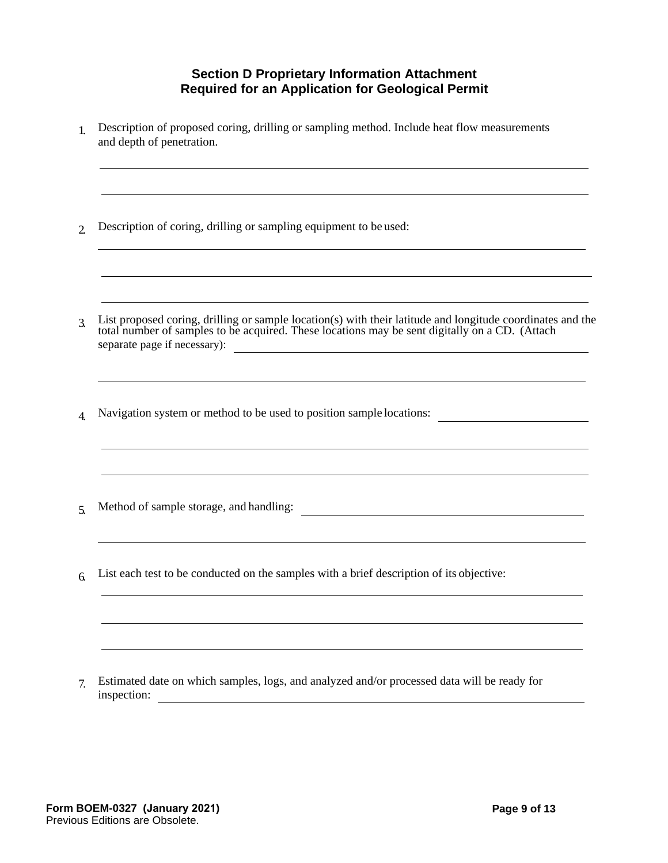### **Section D Proprietary Information Attachment Required for an Application for Geological Permit**

- 1. Description of proposed coring, drilling or sampling method. Include heat flow measurements and depth of penetration.
- 2. Description of coring, drilling or sampling equipment to be used:
- 3. List proposed coring, drilling or sample location(s) with their latitude and longitude coordinates and the total number of samples to be acquired. These locations may be sent digitally on a CD. (Attach separate page if necessary):
- 4. Navigation system or method to be used to position sample locations:
- 5. Method of sample storage, and handling:
- 6. List each test to be conducted on the samples with a brief description of its objective:

7. Estimated date on which samples, logs, and analyzed and/or processed data will be ready for inspection: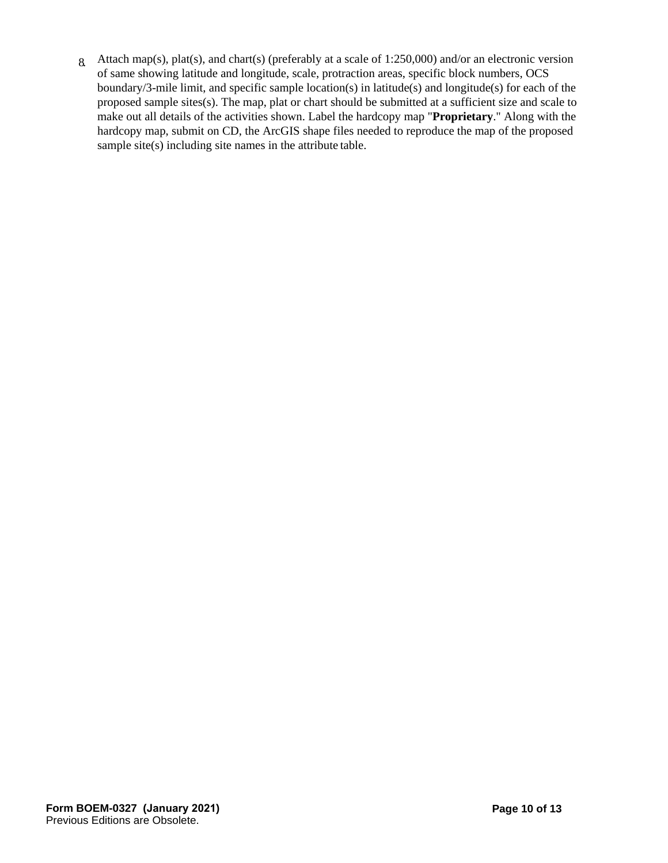8. Attach map(s), plat(s), and chart(s) (preferably at a scale of 1:250,000) and/or an electronic version of same showing latitude and longitude, scale, protraction areas, specific block numbers, OCS boundary/3-mile limit, and specific sample location(s) in latitude(s) and longitude(s) for each of the proposed sample sites(s). The map, plat or chart should be submitted at a sufficient size and scale to make out all details of the activities shown. Label the hardcopy map "**Proprietary**." Along with the hardcopy map, submit on CD, the ArcGIS shape files needed to reproduce the map of the proposed sample site(s) including site names in the attribute table.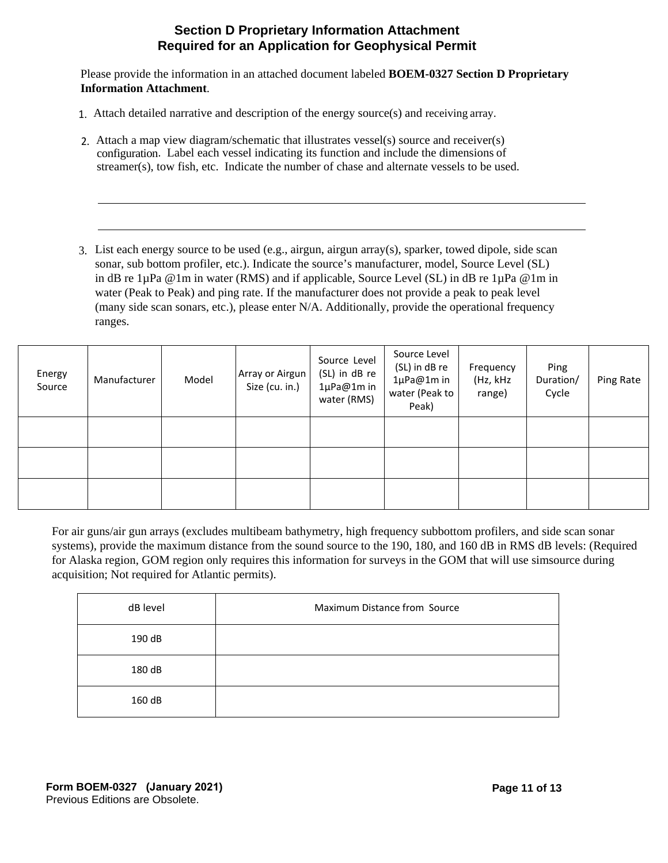#### **Section D Proprietary Information Attachment Required for an Application for Geophysical Permit**

Please provide the information in an attached document labeled **BOEM-0327 Section D Proprietary Information Attachment**.

- 1. Attach detailed narrative and description of the energy source(s) and receiving array.
- 2. Attach a map view diagram/schematic that illustrates vessel(s) source and receiver(s) configuration. Label each vessel indicating its function and include the dimensions of streamer(s), tow fish, etc. Indicate the number of chase and alternate vessels to be used.
- 3. List each energy source to be used (e.g., airgun, airgun array(s), sparker, towed dipole, side scan sonar, sub bottom profiler, etc.). Indicate the source's manufacturer, model, Source Level (SL) in dB re  $1\mu Pa \& 1\text{m}$  in water (RMS) and if applicable, Source Level (SL) in dB re  $1\mu Pa \& 1\text{m}$  in water (Peak to Peak) and ping rate. If the manufacturer does not provide a peak to peak level (many side scan sonars, etc.), please enter N/A. Additionally, provide the operational frequency ranges.

| Energy<br>Source | Manufacturer | Model | Array or Airgun<br>Size (cu. in.) | Source Level<br>(SL) in dB re<br>1µPa@1m in<br>water (RMS) | Source Level<br>(SL) in dB re<br>1µPa@1min<br>water (Peak to<br>Peak) | Frequency<br>(Hz, kHz<br>range) | Ping<br>Duration/<br>Cycle | Ping Rate |
|------------------|--------------|-------|-----------------------------------|------------------------------------------------------------|-----------------------------------------------------------------------|---------------------------------|----------------------------|-----------|
|                  |              |       |                                   |                                                            |                                                                       |                                 |                            |           |
|                  |              |       |                                   |                                                            |                                                                       |                                 |                            |           |
|                  |              |       |                                   |                                                            |                                                                       |                                 |                            |           |

For air guns/air gun arrays (excludes multibeam bathymetry, high frequency subbottom profilers, and side scan sonar systems), provide the maximum distance from the sound source to the 190, 180, and 160 dB in RMS dB levels: (Required for Alaska region, GOM region only requires this information for surveys in the GOM that will use simsource during acquisition; Not required for Atlantic permits).

| dB level | Maximum Distance from Source |
|----------|------------------------------|
| 190 dB   |                              |
| 180 dB   |                              |
| 160 dB   |                              |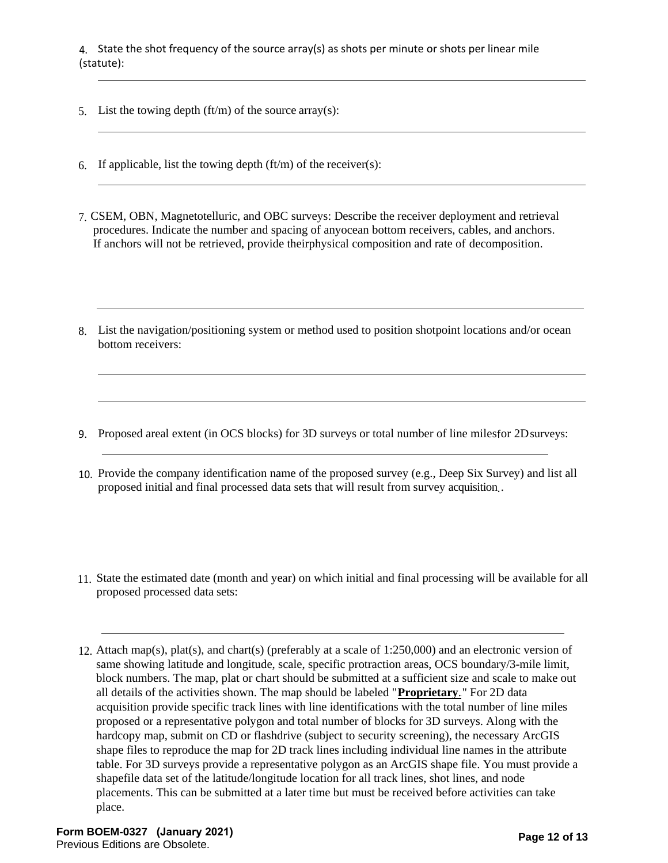4. State the shot frequency of the source array(s) as shots per minute or shots per linear mile (statute):

- 5. List the towing depth  $(ft/m)$  of the source array(s):
- 6. If applicable, list the towing depth  $\text{(ft/m)}$  of the receiver $\text{(s)}$ :
- 7. CSEM, OBN, Magnetotelluric, and OBC surveys: Describe the receiver deployment and retrieval procedures. Indicate the number and spacing of anyocean bottom receivers, cables, and anchors. If anchors will not be retrieved, provide theirphysical composition and rate of decomposition.
- 8. List the navigation/positioning system or method used to position shotpoint locations and/or ocean bottom receivers:
- 9. Proposed areal extent (in OCS blocks) for 3D surveys or total number of line milesfor 2Dsurveys:
- 10. Provide the company identification name of the proposed survey (e.g., Deep Six Survey) and list all proposed initial and final processed data sets that will result from survey acquisition. .
- 11. State the estimated date (month and year) on which initial and final processing will be available for all proposed processed data sets:
- 12. Attach map(s), plat(s), and chart(s) (preferably at a scale of 1:250,000) and an electronic version of same showing latitude and longitude, scale, specific protraction areas, OCS boundary/3-mile limit, block numbers. The map, plat or chart should be submitted at a sufficient size and scale to make out all details of the activities shown. The map should be labeled "**Proprietary**." For 2D data acquisition provide specific track lines with line identifications with the total number of line miles proposed or a representative polygon and total number of blocks for 3D surveys. Along with the hardcopy map, submit on CD or flashdrive (subject to security screening), the necessary ArcGIS shape files to reproduce the map for 2D track lines including individual line names in the attribute table. For 3D surveys provide a representative polygon as an ArcGIS shape file. You must provide a shapefile data set of the latitude/longitude location for all track lines, shot lines, and node placements. This can be submitted at a later time but must be received before activities can take place.